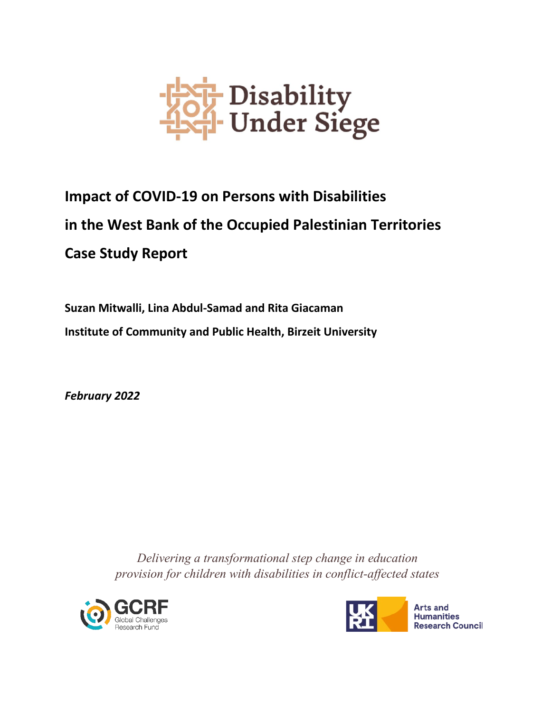

# **Impact of COVID-19 on Persons with Disabilities in the West Bank of the Occupied Palestinian Territories Case Study Report**

**Suzan Mitwalli, Lina Abdul-Samad and Rita Giacaman Institute of Community and Public Health, Birzeit University**

*February 2022*

*Delivering a transformational step change in education provision for children with disabilities in conflict-affected states*





**Arts and Humanities Research Council**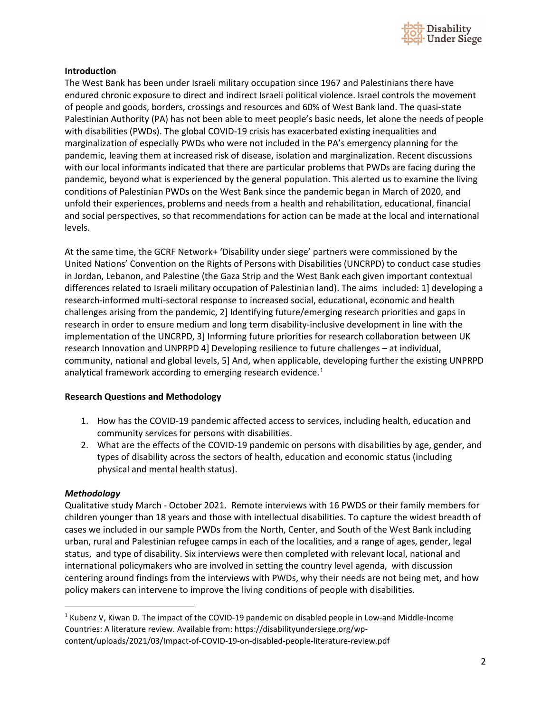

## **Introduction**

The West Bank has been under Israeli military occupation since 1967 and Palestinians there have endured chronic exposure to direct and indirect Israeli political violence. Israel controls the movement of people and goods, borders, crossings and resources and 60% of West Bank land. The quasi-state Palestinian Authority (PA) has not been able to meet people's basic needs, let alone the needs of people with disabilities (PWDs). The global COVID-19 crisis has exacerbated existing inequalities and marginalization of especially PWDs who were not included in the PA's emergency planning for the pandemic, leaving them at increased risk of disease, isolation and marginalization. Recent discussions with our local informants indicated that there are particular problems that PWDs are facing during the pandemic, beyond what is experienced by the general population. This alerted us to examine the living conditions of Palestinian PWDs on the West Bank since the pandemic began in March of 2020, and unfold their experiences, problems and needs from a health and rehabilitation, educational, financial and social perspectives, so that recommendations for action can be made at the local and international levels.

At the same time, the GCRF Network+ 'Disability under siege' partners were commissioned by the United Nations' Convention on the Rights of Persons with Disabilities (UNCRPD) to conduct case studies in Jordan, Lebanon, and Palestine (the Gaza Strip and the West Bank each given important contextual differences related to Israeli military occupation of Palestinian land). The aims included: 1] developing a research-informed multi-sectoral response to increased social, educational, economic and health challenges arising from the pandemic, 2] Identifying future/emerging research priorities and gaps in research in order to ensure medium and long term disability-inclusive development in line with the implementation of the UNCRPD, 3] Informing future priorities for research collaboration between UK research Innovation and UNPRPD 4] Developing resilience to future challenges – at individual, community, national and global levels, 5] And, when applicable, developing further the existing UNPRPD analytical framework according to emerging research evidence. $1$ 

## **Research Questions and Methodology**

- 1. How has the COVID-19 pandemic affected access to services, including health, education and community services for persons with disabilities.
- 2. What are the effects of the COVID-19 pandemic on persons with disabilities by age, gender, and types of disability across the sectors of health, education and economic status (including physical and mental health status).

## *Methodology*

Qualitative study March - October 2021. Remote interviews with 16 PWDS or their family members for children younger than 18 years and those with intellectual disabilities. To capture the widest breadth of cases we included in our sample PWDs from the North, Center, and South of the West Bank including urban, rural and Palestinian refugee camps in each of the localities, and a range of ages, gender, legal status, and type of disability. Six interviews were then completed with relevant local, national and international policymakers who are involved in setting the country level agenda, with discussion centering around findings from the interviews with PWDs, why their needs are not being met, and how policy makers can intervene to improve the living conditions of people with disabilities.

<span id="page-1-0"></span><sup>1</sup> Kubenz V, Kiwan D. The impact of the COVID-19 pandemic on disabled people in Low-and Middle-Income Countries: A literature review. Available from: https://disabilityundersiege.org/wpcontent/uploads/2021/03/Impact-of-COVID-19-on-disabled-people-literature-review.pdf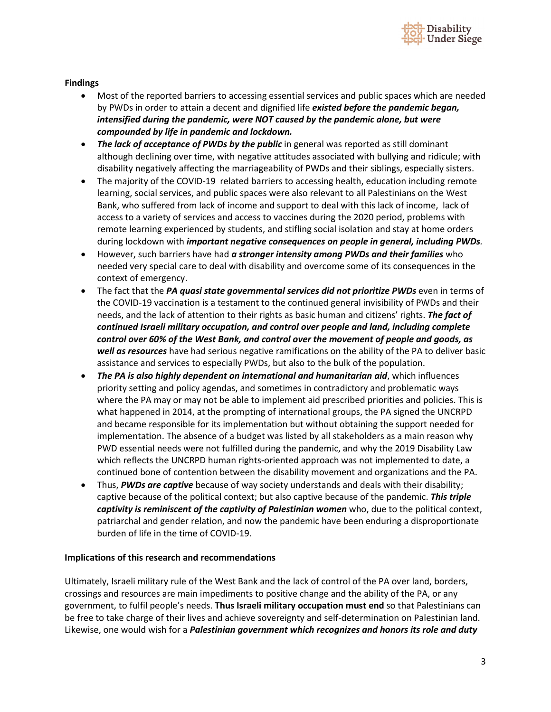

## **Findings**

- Most of the reported barriers to accessing essential services and public spaces which are needed by PWDs in order to attain a decent and dignified life *existed before the pandemic began, intensified during the pandemic, were NOT caused by the pandemic alone, but were compounded by life in pandemic and lockdown.*
- *The lack of acceptance of PWDs by the public* in general was reported as still dominant although declining over time, with negative attitudes associated with bullying and ridicule; with disability negatively affecting the marriageability of PWDs and their siblings, especially sisters.
- The majority of the COVID-19 related barriers to accessing health, education including remote learning, social services, and public spaces were also relevant to all Palestinians on the West Bank, who suffered from lack of income and support to deal with this lack of income, lack of access to a variety of services and access to vaccines during the 2020 period, problems with remote learning experienced by students, and stifling social isolation and stay at home orders during lockdown with *important negative consequences on people in general, including PWDs.*
- However, such barriers have had *a stronger intensity among PWDs and their families* who needed very special care to deal with disability and overcome some of its consequences in the context of emergency.
- The fact that the *PA quasi state governmental services did not prioritize PWDs* even in terms of the COVID-19 vaccination is a testament to the continued general invisibility of PWDs and their needs, and the lack of attention to their rights as basic human and citizens' rights. *The fact of continued Israeli military occupation, and control over people and land, including complete control over 60% of the West Bank, and control over the movement of people and goods, as well as resources* have had serious negative ramifications on the ability of the PA to deliver basic assistance and services to especially PWDs, but also to the bulk of the population.
- *The PA is also highly dependent on international and humanitarian aid*, which influences priority setting and policy agendas, and sometimes in contradictory and problematic ways where the PA may or may not be able to implement aid prescribed priorities and policies. This is what happened in 2014, at the prompting of international groups, the PA signed the UNCRPD and became responsible for its implementation but without obtaining the support needed for implementation. The absence of a budget was listed by all stakeholders as a main reason why PWD essential needs were not fulfilled during the pandemic, and why the 2019 Disability Law which reflects the UNCRPD human rights-oriented approach was not implemented to date, a continued bone of contention between the disability movement and organizations and the PA.
- Thus, *PWDs are captive* because of way society understands and deals with their disability; captive because of the political context; but also captive because of the pandemic. *This triple captivity is reminiscent of the captivity of Palestinian women* who, due to the political context, patriarchal and gender relation, and now the pandemic have been enduring a disproportionate burden of life in the time of COVID-19.

## **Implications of this research and recommendations**

Ultimately, Israeli military rule of the West Bank and the lack of control of the PA over land, borders, crossings and resources are main impediments to positive change and the ability of the PA, or any government, to fulfil people's needs. **Thus Israeli military occupation must end** so that Palestinians can be free to take charge of their lives and achieve sovereignty and self-determination on Palestinian land. Likewise, one would wish for a *Palestinian government which recognizes and honors its role and duty*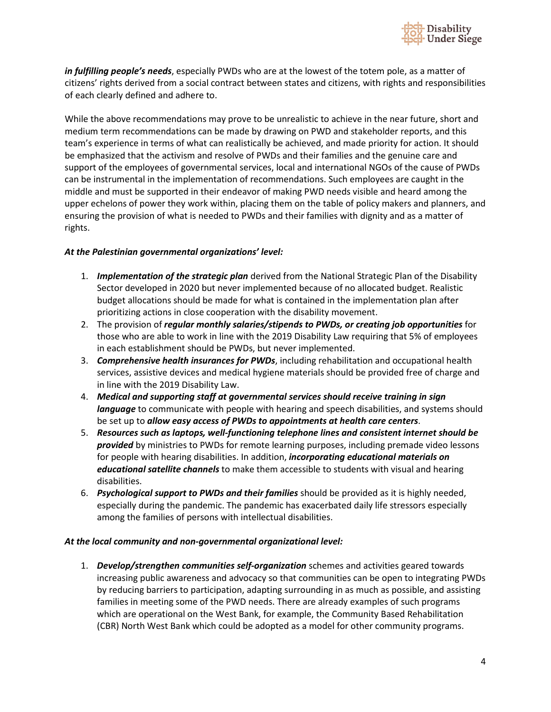

*in fulfilling people's needs*, especially PWDs who are at the lowest of the totem pole, as a matter of citizens' rights derived from a social contract between states and citizens, with rights and responsibilities of each clearly defined and adhere to.

While the above recommendations may prove to be unrealistic to achieve in the near future, short and medium term recommendations can be made by drawing on PWD and stakeholder reports, and this team's experience in terms of what can realistically be achieved, and made priority for action. It should be emphasized that the activism and resolve of PWDs and their families and the genuine care and support of the employees of governmental services, local and international NGOs of the cause of PWDs can be instrumental in the implementation of recommendations. Such employees are caught in the middle and must be supported in their endeavor of making PWD needs visible and heard among the upper echelons of power they work within, placing them on the table of policy makers and planners, and ensuring the provision of what is needed to PWDs and their families with dignity and as a matter of rights.

## *At the Palestinian governmental organizations' level:*

- 1. *Implementation of the strategic plan* derived from the National Strategic Plan of the Disability Sector developed in 2020 but never implemented because of no allocated budget. Realistic budget allocations should be made for what is contained in the implementation plan after prioritizing actions in close cooperation with the disability movement.
- 2. The provision of *regular monthly salaries/stipends to PWDs, or creating job opportunities* for those who are able to work in line with the 2019 Disability Law requiring that 5% of employees in each establishment should be PWDs, but never implemented.
- 3. *Comprehensive health insurances for PWDs*, including rehabilitation and occupational health services, assistive devices and medical hygiene materials should be provided free of charge and in line with the 2019 Disability Law.
- 4. *Medical and supporting staff at governmental services should receive training in sign language* to communicate with people with hearing and speech disabilities, and systems should be set up to *allow easy access of PWDs to appointments at health care centers*.
- 5. *Resources such as laptops, well-functioning telephone lines and consistent internet should be provided* by ministries to PWDs for remote learning purposes, including premade video lessons for people with hearing disabilities. In addition, *incorporating educational materials on educational satellite channels* to make them accessible to students with visual and hearing disabilities.
- 6. *Psychological support to PWDs and their families* should be provided as it is highly needed, especially during the pandemic. The pandemic has exacerbated daily life stressors especially among the families of persons with intellectual disabilities.

## *At the local community and non-governmental organizational level:*

1. *Develop/strengthen communities self-organization* schemes and activities geared towards increasing public awareness and advocacy so that communities can be open to integrating PWDs by reducing barriers to participation, adapting surrounding in as much as possible, and assisting families in meeting some of the PWD needs. There are already examples of such programs which are operational on the West Bank, for example, the Community Based Rehabilitation (CBR) North West Bank which could be adopted as a model for other community programs.